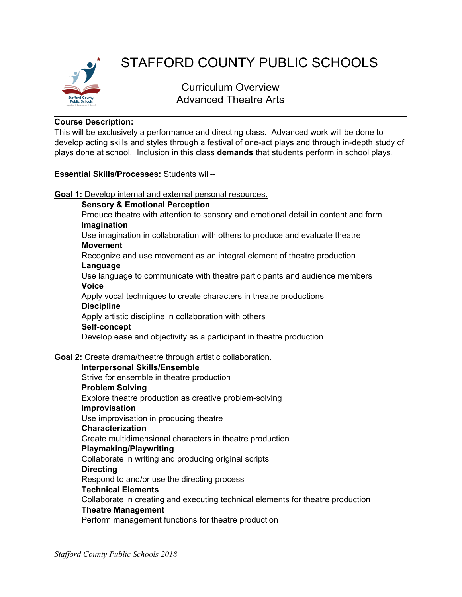

# STAFFORD COUNTY PUBLIC SCHOOLS

Curriculum Overview Advanced Theatre Arts

### **Course Description:**

This will be exclusively a performance and directing class. Advanced work will be done to develop acting skills and styles through a festival of one-act plays and through in-depth study of plays done at school. Inclusion in this class **demands** that students perform in school plays.

# **Essential Skills/Processes:** Students will--

**Goal 1:** Develop internal and external personal resources.

### **Sensory & Emotional Perception**

Produce theatre with attention to sensory and emotional detail in content and form **Imagination**

Use imagination in collaboration with others to produce and evaluate theatre **Movement**

Recognize and use movement as an integral element of theatre production

### **Language**

Use language to communicate with theatre participants and audience members **Voice**

Apply vocal techniques to create characters in theatre productions **Discipline**

Apply artistic discipline in collaboration with others

#### **Self-concept**

Develop ease and objectivity as a participant in theatre production

# **Goal 2:** Create drama/theatre through artistic collaboration.

#### **Interpersonal Skills/Ensemble**

Strive for ensemble in theatre production **Problem Solving** Explore theatre production as creative problem-solving **Improvisation** Use improvisation in producing theatre **Characterization** Create multidimensional characters in theatre production **Playmaking/Playwriting** Collaborate in writing and producing original scripts **Directing** Respond to and/or use the directing process **Technical Elements** Collaborate in creating and executing technical elements for theatre production **Theatre Management**

Perform management functions for theatre production